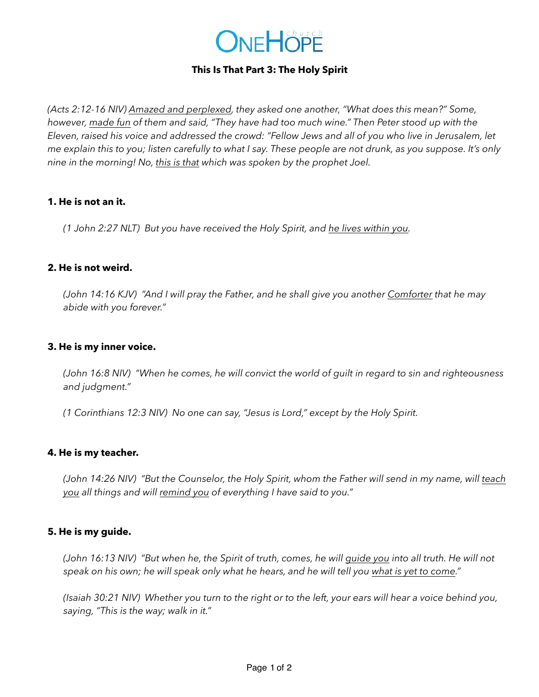

# **This Is That Part 3: The Holy Spirit**

*(Acts 2:12-16 NIV) Amazed and perplexed, they asked one another, "What does this mean?" Some, however, made fun of them and said, "They have had too much wine." Then Peter stood up with the Eleven, raised his voice and addressed the crowd: "Fellow Jews and all of you who live in Jerusalem, let me explain this to you; listen carefully to what I say. These people are not drunk, as you suppose. It's only nine in the morning! No, this is that which was spoken by the prophet Joel.* 

## **1. He is not an it.**

*(1 John 2:27 NLT) But you have received the Holy Spirit, and he lives within you.* 

# **2. He is not weird.**

*(John 14:16 KJV) "And I will pray the Father, and he shall give you another Comforter that he may abide with you forever."*

# **3. He is my inner voice.**

*(John 16:8 NIV) "When he comes, he will convict the world of guilt in regard to sin and righteousness and judgment."*

*(1 Corinthians 12:3 NIV) No one can say, "Jesus is Lord," except by the Holy Spirit.* 

## **4. He is my teacher.**

*(John 14:26 NIV) "But the Counselor, the Holy Spirit, whom the Father will send in my name, will teach you all things and will remind you of everything I have said to you."* 

## **5. He is my guide.**

*(John 16:13 NIV) "But when he, the Spirit of truth, comes, he will guide you into all truth. He will not speak on his own; he will speak only what he hears, and he will tell you what is yet to come."*

*(Isaiah 30:21 NIV) Whether you turn to the right or to the left, your ears will hear a voice behind you, saying, "This is the way; walk in it."*